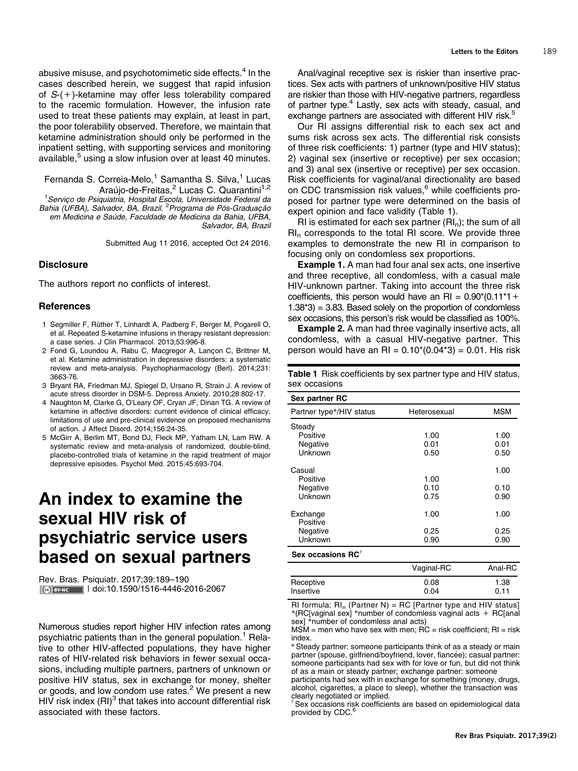abusive misuse, and psychotomimetic side effects.<sup>[4](#page--1-0)</sup> In the cases described herein, we suggest that rapid infusion of S-(+)-ketamine may offer less tolerability compared to the racemic formulation. However, the infusion rate used to treat these patients may explain, at least in part, the poor tolerability observed. Therefore, we maintain that ketamine administration should only be performed in the inpatient setting, with supporting services and monitoring available,<sup>[5](#page--1-0)</sup> using a slow infusion over at least 40 minutes.

Fernanda S. Correia-Melo,<sup>1</sup> Samantha S. Silva,<sup>1</sup> Lucas Araújo-de-Freitas,<sup>2</sup> Lucas C. Quarantini<sup>1,2</sup> <sup>1</sup>Serviço de Psiquiatria, Hospital Escola, Universidade Federal da

Bahia (UFBA), Salvador, BA, Brazil. <sup>2</sup> Programa de Pós-Graduação em Medicina e Saúde, Faculdade de Medicina da Bahia, UFBA, Salvador, BA, Brazil

Submitted Aug 11 2016, accepted Oct 24 2016.

### **Disclosure**

The authors report no conflicts of interest.

## **References**

- 1 Segmiller F, Rüther T, Linhardt A, Padberg F, Berger M, Pogarell O, et al. Repeated S-ketamine infusions in therapy resistant depression: a case series. J Clin Pharmacol. 2013;53:996-8.
- 2 Fond G, Loundou A, Rabu C, Macgregor A, Lançon C, Brittner M, et al. Ketamine administration in depressive disorders: a systematic review and meta-analysis. Psychopharmacology (Berl). 2014;231: 3663-76.
- 3 Bryant RA, Friedman MJ, Spiegel D, Ursano R, Strain J. A review of acute stress disorder in DSM-5. Depress Anxiety. 2010;28:802-17.
- 4 Naughton M, Clarke G, O'Leary OF, Cryan JF, Dinan TG. A review of ketamine in affective disorders: current evidence of clinical efficacy, limitations of use and pre-clinical evidence on proposed mechanisms of action. J Affect Disord. 2014;156:24-35.
- 5 McGirr A, Berlim MT, Bond DJ, Fleck MP, Yatham LN, Lam RW. A systematic review and meta-analysis of randomized, double-blind, placebo-controlled trials of ketamine in the rapid treatment of major depressive episodes. Psychol Med. 2015;45:693-704.

# An index to examine the sexual HIV risk of psychiatric service users based on sexual partners

Rev. Bras. Psiquiatr. 2017;39:189–190 CC BY-NC | doi:[10.1590/1516-4446-2016-2067](http://dx.doi.org/10.1590/1516-4446-2016-2067)

Numerous studies report higher HIV infection rates among psychiatric patients than in the general population.<sup>[1](#page--1-0)</sup> Relative to other HIV-affected populations, they have higher rates of HIV-related risk behaviors in fewer sexual occasions, including multiple partners, partners of unknown or positive HIV status, sex in exchange for money, shelter or goods, and low condom use rates.<sup>[2](#page--1-0)</sup> We present a new HIV risk index (RI)<sup>[3](#page--1-0)</sup> that takes into account differential risk associated with these factors.

Anal/vaginal receptive sex is riskier than insertive practices. Sex acts with partners of unknown/positive HIV status are riskier than those with HIV-negative partners, regardless of partner type.<sup>4</sup> Lastly, sex acts with steady, casual, and exchange partners are associated with different HIV risk.<sup>5</sup>

Our RI assigns differential risk to each sex act and sums risk across sex acts. The differential risk consists of three risk coefficients: 1) partner (type and HIV status); 2) vaginal sex (insertive or receptive) per sex occasion; and 3) anal sex (insertive or receptive) per sex occasion. Risk coefficients for vaginal/anal directionality are based on CDC transmission risk values,<sup>[6](#page-1-0)</sup> while coefficients proposed for partner type were determined on the basis of expert opinion and face validity [\(Table 1](#page--1-0)).

RI is estimated for each sex partner  $(RI_n)$ ; the sum of all  $\mathsf{RI}_n$  corresponds to the total  $\mathsf{RI}$  score. We provide three examples to demonstrate the new RI in comparison to focusing only on condomless sex proportions.

Example 1. A man had four anal sex acts, one insertive and three receptive, all condomless, with a casual male HIV-unknown partner. Taking into account the three risk coefficients, this person would have an RI =  $0.90*(0.11*1 +$  $1.38*3$  = 3.83. Based solely on the proportion of condomless sex occasions, this person's risk would be classified as 100%.

Example 2. A man had three vaginally insertive acts, all condomless, with a casual HIV-negative partner. This person would have an RI =  $0.10*(0.04*3) = 0.01$ . His risk

Table 1 Risk coefficients by sex partner type and HIV status, sex occasions

#### Sex partner RC

| σεν μαιτικι τις          |              |            |
|--------------------------|--------------|------------|
| Partner type*/HIV status | Heterosexual | <b>MSM</b> |
| Steady                   |              |            |
| Positive                 | 1.00         | 1.00       |
| Negative                 | 0.01         | 0.01       |
| Unknown                  | 0.50         | 0.50       |
| Casual                   |              | 1.00       |
| Positive                 | 1.00         |            |
| Negative                 | 0.10         | 0.10       |
| Unknown                  | 0.75         | 0.90       |
| Exchange<br>Positive     | 1.00         | 1.00       |
| Negative                 | 0.25         | 0.25       |
| Unknown                  | 0.90         | 0.90       |
|                          |              |            |

# Sex occasions RC<sup>1</sup>

|                        | Vaginal-RC   | Anal-RC      |
|------------------------|--------------|--------------|
| Receptive<br>Insertive | 0.08<br>0.04 | 1.38<br>0.11 |
|                        |              |              |

RI formula:  $\text{RI}_n$  (Partner N) = RC [Partner type and HIV status] \*(RC[vaginal sex] \*number of condomless vaginal acts + RC[anal sex] \*number of condomless anal acts)

 $MSM$  = men who have sex with men;  $\overline{RC}$  = risk coefficient;  $\overline{RI}$  = risk index.

\*Steady partner: someone participants think of as a steady or main partner (spouse, girlfriend/boyfriend, lover, fiancée); casual partner: someone participants had sex with for love or fun, but did not think of as a main or steady partner; exchange partner: someone

participants had sex with in exchange for something (money, drugs, alcohol, cigarettes, a place to sleep), whether the transaction was clearly negotiated or implied.

Sex occasions risk coefficients are based on epidemiological data provided by CDC.<sup>[6](#page-1-0)</sup>